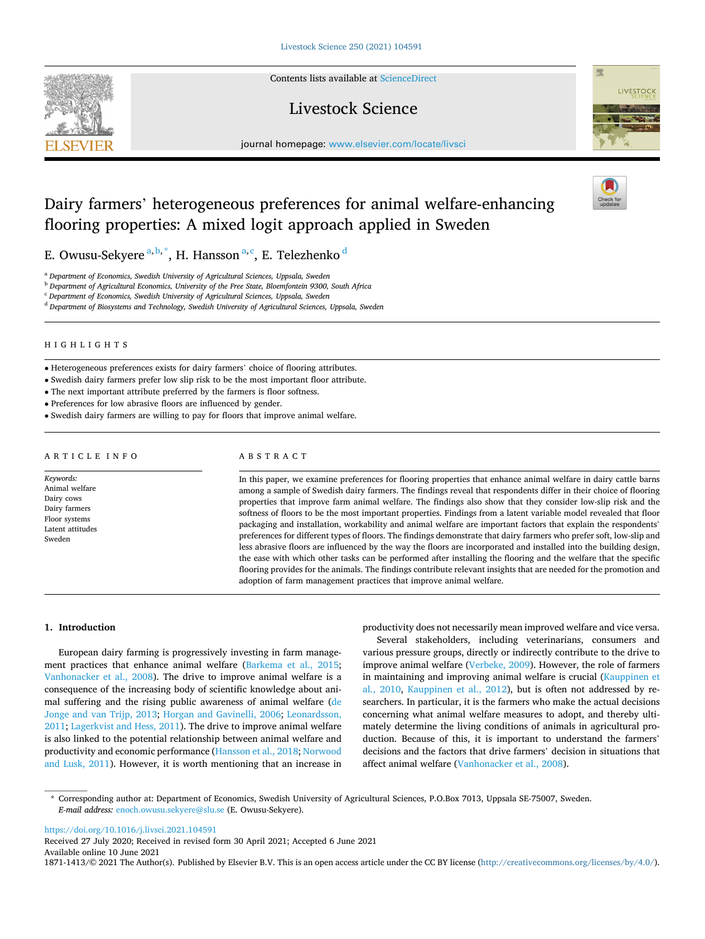**SEVIER** 

Contents lists available at [ScienceDirect](www.sciencedirect.com/science/journal/18711413)

# Livestock Science



journal homepage: [www.elsevier.com/locate/livsci](https://www.elsevier.com/locate/livsci) 

# Dairy farmers' heterogeneous preferences for animal welfare-enhancing flooring properties: A mixed logit approach applied in Sweden

E. Owusu-Sekyere <sup>a, b, \*</sup>, H. Hansson <sup>a, c</sup>, E. Telezhenko <sup>d</sup>

<sup>a</sup> *Department of Economics, Swedish University of Agricultural Sciences, Uppsala, Sweden* 

<sup>b</sup> *Department of Agricultural Economics, University of the Free State, Bloemfontein 9300, South Africa* 

<sup>c</sup> *Department of Economics, Swedish University of Agricultural Sciences, Uppsala, Sweden* 

<sup>d</sup> *Department of Biosystems and Technology, Swedish University of Agricultural Sciences, Uppsala, Sweden* 

# HIGHLIGHTS

• Heterogeneous preferences exists for dairy farmers' choice of flooring attributes.

• Swedish dairy farmers prefer low slip risk to be the most important floor attribute.

• The next important attribute preferred by the farmers is floor softness.

• Preferences for low abrasive floors are influenced by gender.

• Swedish dairy farmers are willing to pay for floors that improve animal welfare.

# ARTICLE INFO

*Keywords:*  Animal welfare Dairy cows Dairy farmers Floor systems Latent attitudes Sweden

### ABSTRACT

In this paper, we examine preferences for flooring properties that enhance animal welfare in dairy cattle barns among a sample of Swedish dairy farmers. The findings reveal that respondents differ in their choice of flooring properties that improve farm animal welfare. The findings also show that they consider low-slip risk and the softness of floors to be the most important properties. Findings from a latent variable model revealed that floor packaging and installation, workability and animal welfare are important factors that explain the respondents' preferences for different types of floors. The findings demonstrate that dairy farmers who prefer soft, low-slip and less abrasive floors are influenced by the way the floors are incorporated and installed into the building design, the ease with which other tasks can be performed after installing the flooring and the welfare that the specific flooring provides for the animals. The findings contribute relevant insights that are needed for the promotion and adoption of farm management practices that improve animal welfare.

## **1. Introduction**

European dairy farming is progressively investing in farm management practices that enhance animal welfare ([Barkema et al., 2015](#page-8-0); [Vanhonacker et al., 2008](#page-8-0)). The drive to improve animal welfare is a consequence of the increasing body of scientific knowledge about animal suffering and the rising public awareness of animal welfare [\(de](#page-8-0)  [Jonge and van Trijp, 2013;](#page-8-0) [Horgan and Gavinelli, 2006;](#page-8-0) [Leonardsson,](#page-8-0)  [2011; Lagerkvist and Hess, 2011](#page-8-0)). The drive to improve animal welfare is also linked to the potential relationship between animal welfare and productivity and economic performance ([Hansson et al., 2018](#page-8-0); [Norwood](#page-8-0)  [and Lusk, 2011\)](#page-8-0). However, it is worth mentioning that an increase in productivity does not necessarily mean improved welfare and vice versa.

Several stakeholders, including veterinarians, consumers and various pressure groups, directly or indirectly contribute to the drive to improve animal welfare [\(Verbeke, 2009\)](#page-8-0). However, the role of farmers in maintaining and improving animal welfare is crucial [\(Kauppinen et](#page-8-0)  al*.*[, 2010,](#page-8-0) [Kauppinen et al., 2012](#page-8-0)), but is often not addressed by researchers. In particular, it is the farmers who make the actual decisions concerning what animal welfare measures to adopt, and thereby ultimately determine the living conditions of animals in agricultural production. Because of this, it is important to understand the farmers' decisions and the factors that drive farmers' decision in situations that affect animal welfare ([Vanhonacker et al., 2008\)](#page-8-0).

\* Corresponding author at: Department of Economics, Swedish University of Agricultural Sciences, P.O.Box 7013, Uppsala SE-75007, Sweden. *E-mail address:* [enoch.owusu.sekyere@slu.se](mailto:enoch.owusu.sekyere@slu.se) (E. Owusu-Sekyere).

<https://doi.org/10.1016/j.livsci.2021.104591>

Available online 10 June 2021 1871-1413/© 2021 The Author(s). Published by Elsevier B.V. This is an open access article under the CC BY license [\(http://creativecommons.org/licenses/by/4.0/\)](http://creativecommons.org/licenses/by/4.0/). Received 27 July 2020; Received in revised form 30 April 2021; Accepted 6 June 2021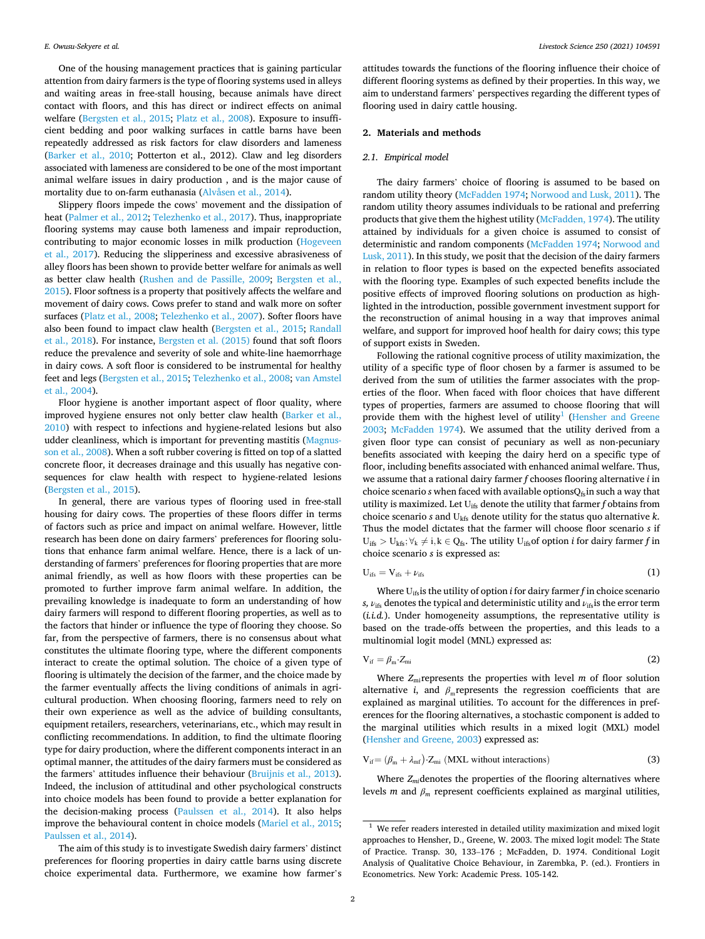One of the housing management practices that is gaining particular attention from dairy farmers is the type of flooring systems used in alleys and waiting areas in free-stall housing, because animals have direct contact with floors, and this has direct or indirect effects on animal welfare ([Bergsten et al., 2015](#page-8-0); [Platz et al., 2008\)](#page-8-0). Exposure to insufficient bedding and poor walking surfaces in cattle barns have been repeatedly addressed as risk factors for claw disorders and lameness ([Barker et al., 2010](#page-8-0); Potterton et al., 2012). Claw and leg disorders associated with lameness are considered to be one of the most important animal welfare issues in dairy production , and is the major cause of mortality due to on-farm euthanasia [\(Alvåsen et al., 2014](#page-8-0)).

Slippery floors impede the cows' movement and the dissipation of heat [\(Palmer et al., 2012; Telezhenko et al., 2017\)](#page-8-0). Thus, inappropriate flooring systems may cause both lameness and impair reproduction, contributing to major economic losses in milk production ([Hogeveen](#page-8-0)  [et al., 2017](#page-8-0)). Reducing the slipperiness and excessive abrasiveness of alley floors has been shown to provide better welfare for animals as well as better claw health ([Rushen and de Passille, 2009](#page-8-0); [Bergsten et al.,](#page-8-0)  [2015\)](#page-8-0). Floor softness is a property that positively affects the welfare and movement of dairy cows. Cows prefer to stand and walk more on softer surfaces [\(Platz et al., 2008](#page-8-0); [Telezhenko et al., 2007\)](#page-8-0). Softer floors have also been found to impact claw health ([Bergsten et al., 2015](#page-8-0); [Randall](#page-8-0)  [et al., 2018](#page-8-0)). For instance, [Bergsten et al. \(2015\)](#page-8-0) found that soft floors reduce the prevalence and severity of sole and white-line haemorrhage in dairy cows. A soft floor is considered to be instrumental for healthy feet and legs ([Bergsten et al., 2015; Telezhenko et al., 2008](#page-8-0); [van Amstel](#page-8-0)  [et al., 2004\)](#page-8-0).

Floor hygiene is another important aspect of floor quality, where improved hygiene ensures not only better claw health [\(Barker et al.,](#page-8-0)  [2010\)](#page-8-0) with respect to infections and hygiene-related lesions but also udder cleanliness, which is important for preventing mastitis ([Magnus](#page-8-0)[son et al., 2008\)](#page-8-0). When a soft rubber covering is fitted on top of a slatted concrete floor, it decreases drainage and this usually has negative consequences for claw health with respect to hygiene-related lesions ([Bergsten et al., 2015\)](#page-8-0).

In general, there are various types of flooring used in free-stall housing for dairy cows. The properties of these floors differ in terms of factors such as price and impact on animal welfare. However, little research has been done on dairy farmers' preferences for flooring solutions that enhance farm animal welfare. Hence, there is a lack of understanding of farmers' preferences for flooring properties that are more animal friendly, as well as how floors with these properties can be promoted to further improve farm animal welfare. In addition, the prevailing knowledge is inadequate to form an understanding of how dairy farmers will respond to different flooring properties, as well as to the factors that hinder or influence the type of flooring they choose. So far, from the perspective of farmers, there is no consensus about what constitutes the ultimate flooring type, where the different components interact to create the optimal solution. The choice of a given type of flooring is ultimately the decision of the farmer, and the choice made by the farmer eventually affects the living conditions of animals in agricultural production. When choosing flooring, farmers need to rely on their own experience as well as the advice of building consultants, equipment retailers, researchers, veterinarians, etc., which may result in conflicting recommendations. In addition, to find the ultimate flooring type for dairy production, where the different components interact in an optimal manner, the attitudes of the dairy farmers must be considered as the farmers' attitudes influence their behaviour ([Bruijnis et al., 2013](#page-8-0)). Indeed, the inclusion of attitudinal and other psychological constructs into choice models has been found to provide a better explanation for the decision-making process [\(Paulssen et al., 2014\)](#page-8-0). It also helps improve the behavioural content in choice models ([Mariel et al., 2015](#page-8-0); [Paulssen et al., 2014\)](#page-8-0).

The aim of this study is to investigate Swedish dairy farmers' distinct preferences for flooring properties in dairy cattle barns using discrete choice experimental data. Furthermore, we examine how farmer's

attitudes towards the functions of the flooring influence their choice of different flooring systems as defined by their properties. In this way, we aim to understand farmers' perspectives regarding the different types of flooring used in dairy cattle housing.

## **2. Materials and methods**

### *2.1. Empirical model*

The dairy farmers' choice of flooring is assumed to be based on random utility theory ([McFadden 1974](#page-8-0); [Norwood and Lusk, 2011](#page-8-0)). The random utility theory assumes individuals to be rational and preferring products that give them the highest utility [\(McFadden, 1974\)](#page-8-0). The utility attained by individuals for a given choice is assumed to consist of deterministic and random components [\(McFadden 1974;](#page-8-0) [Norwood and](#page-8-0)  [Lusk, 2011\)](#page-8-0). In this study, we posit that the decision of the dairy farmers in relation to floor types is based on the expected benefits associated with the flooring type. Examples of such expected benefits include the positive effects of improved flooring solutions on production as highlighted in the introduction, possible government investment support for the reconstruction of animal housing in a way that improves animal welfare, and support for improved hoof health for dairy cows; this type of support exists in Sweden.

Following the rational cognitive process of utility maximization, the utility of a specific type of floor chosen by a farmer is assumed to be derived from the sum of utilities the farmer associates with the properties of the floor. When faced with floor choices that have different types of properties, farmers are assumed to choose flooring that will provide them with the highest level of utility<sup>1</sup> (Hensher and Greene [2003;](#page-8-0) [McFadden 1974](#page-8-0)). We assumed that the utility derived from a given floor type can consist of pecuniary as well as non-pecuniary benefits associated with keeping the dairy herd on a specific type of floor, including benefits associated with enhanced animal welfare. Thus, we assume that a rational dairy farmer *f* chooses flooring alternative *i* in choice scenario  $s$  when faced with available options $Q_{fs}$  in such a way that utility is maximized. Let Uifs denote the utility that farmer *f* obtains from choice scenario *s* and Ukfs denote utility for the status quo alternative *k*. Thus the model dictates that the farmer will choose floor scenario *s* if  $U_{\text{ifs}} > U_{\text{kfs}}$ ;  $\forall_k \neq i, k \in Q_{\text{fs}}$ . The utility  $U_{\text{ifs}}$  of option *i* for dairy farmer *f* in choice scenario *s* is expressed as:

$$
U_{\text{ifs}} = V_{\text{ifs}} + \nu_{\text{ifs}} \tag{1}
$$

Where Uifsis the utility of option *i* for dairy farmer *f* in choice scenario *s*,  $\nu_{\text{ifs}}$  denotes the typical and deterministic utility and  $\nu_{\text{ifs}}$  is the error term (*i.i.d.*). Under homogeneity assumptions, the representative utility is based on the trade-offs between the properties, and this leads to a multinomial logit model (MNL) expressed as:

$$
V_{if} = \beta_m \cdot Z_{mi} \tag{2}
$$

Where  $Z_{\text{mi}}$  represents the properties with level  $m$  of floor solution alternative *i*, and  $\beta$ <sub>m</sub> represents the regression coefficients that are explained as marginal utilities. To account for the differences in preferences for the flooring alternatives, a stochastic component is added to the marginal utilities which results in a mixed logit (MXL) model ([Hensher and Greene, 2003](#page-8-0)) expressed as:

$$
V_{if} = (\beta_m + \lambda_{mf}) \cdot Z_{mi} \text{ (MXL without interactions)}
$$
 (3)

Where  $Z_{mi}$  denotes the properties of the flooring alternatives where levels *m* and  $\beta_m$  represent coefficients explained as marginal utilities,

 $1$  We refer readers interested in detailed utility maximization and mixed logit approaches to Hensher, D., Greene, W. 2003. The mixed logit model: The State of Practice. Transp. 30, 133–176 ; McFadden, D. 1974. Conditional Logit Analysis of Qualitative Choice Behaviour, in Zarembka, P. (ed.). Frontiers in Econometrics. New York: Academic Press. 105-142.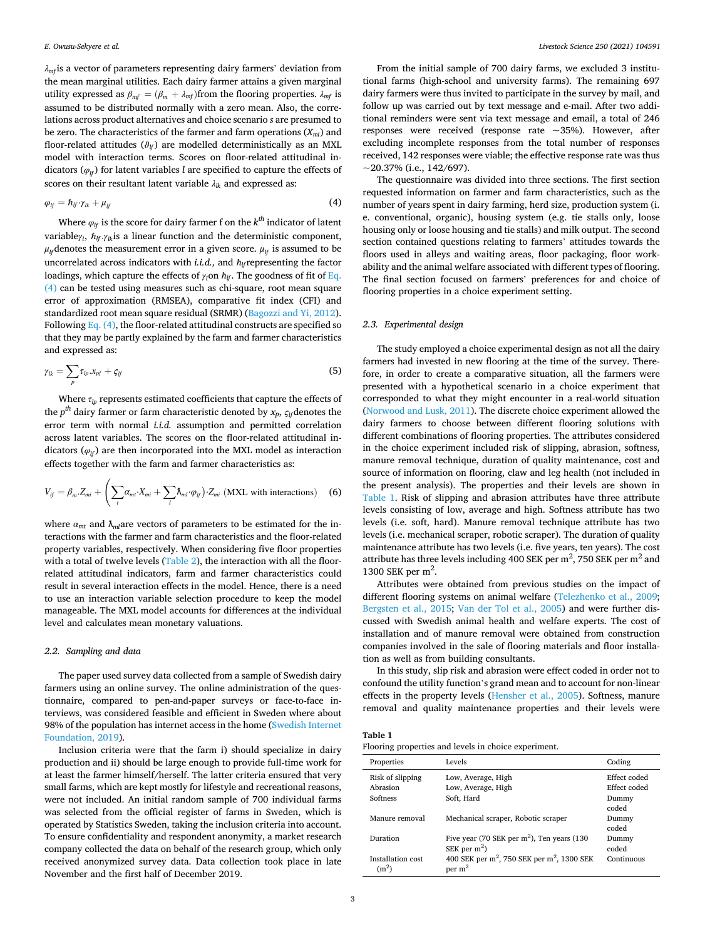*λmf* is a vector of parameters representing dairy farmers' deviation from the mean marginal utilities. Each dairy farmer attains a given marginal utility expressed as  $β_{mf} = (β_m + λ_{mf})$  from the flooring properties.  $λ_{mf}$  is assumed to be distributed normally with a zero mean. Also, the correlations across product alternatives and choice scenario *s* are presumed to be zero. The characteristics of the farmer and farm operations  $(X_{mi})$  and floor-related attitudes  $(\vartheta_{if})$  are modelled deterministically as an MXL model with interaction terms. Scores on floor-related attitudinal indicators ( $\varphi$ <sup>*lf*</sup>) for latent variables *l* are specified to capture the effects of scores on their resultant latent variable *λlk* and expressed as:

$$
\varphi_{lf} = \hbar_{lf} \cdot \gamma_{lk} + \mu_{lf} \tag{4}
$$

Where  $\varphi$ <sup>*lf*</sup> is the score for dairy farmer f on the  $k^{th}$  indicator of latent variable*γ<sup>l</sup>* , ℏ*lf .γlk*is a linear function and the deterministic component,  $\mu$ <sup>*l*</sup><sup>*l*</sup> (denotes the measurement error in a given score.  $\mu$ <sup>*f*</sup> is assumed to be uncorrelated across indicators with *i.i.d.*, and  $\hbar$ <sup>*l*</sup> representing the factor loadings, which capture the effects of  $γ_l$ on  $\hbar$ <sub>*lf*</sub>. The goodness of fit of Eq. (4) can be tested using measures such as chi-square, root mean square error of approximation (RMSEA), comparative fit index (CFI) and standardized root mean square residual (SRMR) ([Bagozzi and Yi, 2012](#page-8-0)). Following Eq.  $(4)$ , the floor-related attitudinal constructs are specified so that they may be partly explained by the farm and farmer characteristics and expressed as:

$$
\gamma_{lk} = \sum_{p} \tau_{lp} . x_{pf} + \zeta_{lf} \tag{5}
$$

Where  $\tau_{lp}$  represents estimated coefficients that capture the effects of the  $p^{th}$  dairy farmer or farm characteristic denoted by  $x_p$ ,  $\varsigma$ <sub>*lf*</sub> denotes the error term with normal *i.i.d.* assumption and permitted correlation across latent variables. The scores on the floor-related attitudinal indicators  $(\varphi_{lf})$  are then incorporated into the MXL model as interaction effects together with the farm and farmer characteristics as:

$$
V_{if} = \beta_m \cdot Z_{mi} + \left(\sum_t \alpha_{mt} \cdot X_{mi} + \sum_l \lambda_{ml} \cdot \varphi_{lj}\right) \cdot Z_{mi} \text{ (MXL with interactions) (6)}
$$

where  $a_{mt}$  and  $\lambda_{ml}$ are vectors of parameters to be estimated for the interactions with the farmer and farm characteristics and the floor-related property variables, respectively. When considering five floor properties with a total of twelve levels ([Table 2\)](#page-3-0), the interaction with all the floorrelated attitudinal indicators, farm and farmer characteristics could result in several interaction effects in the model. Hence, there is a need to use an interaction variable selection procedure to keep the model manageable. The MXL model accounts for differences at the individual level and calculates mean monetary valuations.

## *2.2. Sampling and data*

The paper used survey data collected from a sample of Swedish dairy farmers using an online survey. The online administration of the questionnaire, compared to pen-and-paper surveys or face-to-face interviews, was considered feasible and efficient in Sweden where about 98% of the population has internet access in the home ([Swedish Internet](#page-8-0)  [Foundation, 2019](#page-8-0)).

Inclusion criteria were that the farm i) should specialize in dairy production and ii) should be large enough to provide full-time work for at least the farmer himself/herself. The latter criteria ensured that very small farms, which are kept mostly for lifestyle and recreational reasons, were not included. An initial random sample of 700 individual farms was selected from the official register of farms in Sweden, which is operated by Statistics Sweden, taking the inclusion criteria into account. To ensure confidentiality and respondent anonymity, a market research company collected the data on behalf of the research group, which only received anonymized survey data. Data collection took place in late November and the first half of December 2019.

From the initial sample of 700 dairy farms, we excluded 3 institutional farms (high-school and university farms). The remaining 697 dairy farmers were thus invited to participate in the survey by mail, and follow up was carried out by text message and e-mail. After two additional reminders were sent via text message and email, a total of 246 responses were received (response rate ~35%). However, after excluding incomplete responses from the total number of responses received, 142 responses were viable; the effective response rate was thus  $\sim$ 20.37% (i.e., 142/697).

The questionnaire was divided into three sections. The first section requested information on farmer and farm characteristics, such as the number of years spent in dairy farming, herd size, production system (i. e. conventional, organic), housing system (e.g. tie stalls only, loose housing only or loose housing and tie stalls) and milk output. The second section contained questions relating to farmers' attitudes towards the floors used in alleys and waiting areas, floor packaging, floor workability and the animal welfare associated with different types of flooring. The final section focused on farmers' preferences for and choice of flooring properties in a choice experiment setting.

# *2.3. Experimental design*

The study employed a choice experimental design as not all the dairy farmers had invested in new flooring at the time of the survey. Therefore, in order to create a comparative situation, all the farmers were presented with a hypothetical scenario in a choice experiment that corresponded to what they might encounter in a real-world situation ([Norwood and Lusk, 2011\)](#page-8-0). The discrete choice experiment allowed the dairy farmers to choose between different flooring solutions with different combinations of flooring properties. The attributes considered in the choice experiment included risk of slipping, abrasion, softness, manure removal technique, duration of quality maintenance, cost and source of information on flooring, claw and leg health (not included in the present analysis). The properties and their levels are shown in Table 1. Risk of slipping and abrasion attributes have three attribute levels consisting of low, average and high. Softness attribute has two levels (i.e. soft, hard). Manure removal technique attribute has two levels (i.e. mechanical scraper, robotic scraper). The duration of quality maintenance attribute has two levels (i.e. five years, ten years). The cost attribute has three levels including 400 SEK per  $m^2$ , 750 SEK per  $m^2$  and 1300 SEK per  $m^2$ .

Attributes were obtained from previous studies on the impact of different flooring systems on animal welfare [\(Telezhenko et al., 2009](#page-8-0); [Bergsten et al., 2015;](#page-8-0) [Van der Tol et al., 2005\)](#page-8-0) and were further discussed with Swedish animal health and welfare experts. The cost of installation and of manure removal were obtained from construction companies involved in the sale of flooring materials and floor installation as well as from building consultants.

In this study, slip risk and abrasion were effect coded in order not to confound the utility function's grand mean and to account for non-linear effects in the property levels [\(Hensher et al., 2005\)](#page-8-0). Softness, manure removal and quality maintenance properties and their levels were

### **Table 1**

Flooring properties and levels in choice experiment.

| Properties                               | Levels                                                                                   | Coding                                         |
|------------------------------------------|------------------------------------------------------------------------------------------|------------------------------------------------|
| Risk of slipping<br>Abrasion<br>Softness | Low, Average, High<br>Low, Average, High<br>Soft, Hard                                   | Effect coded<br>Effect coded<br>Dummy<br>coded |
| Manure removal                           | Mechanical scraper, Robotic scraper                                                      | Dummy<br>coded                                 |
| Duration                                 | Five year (70 SEK per $m2$ ), Ten years (130<br>SEK per $m2$ )                           | Dummy<br>coded                                 |
| Installation cost<br>(m <sup>2</sup> )   | 400 SEK per m <sup>2</sup> , 750 SEK per m <sup>2</sup> , 1300 SEK<br>per m <sup>2</sup> | Continuous                                     |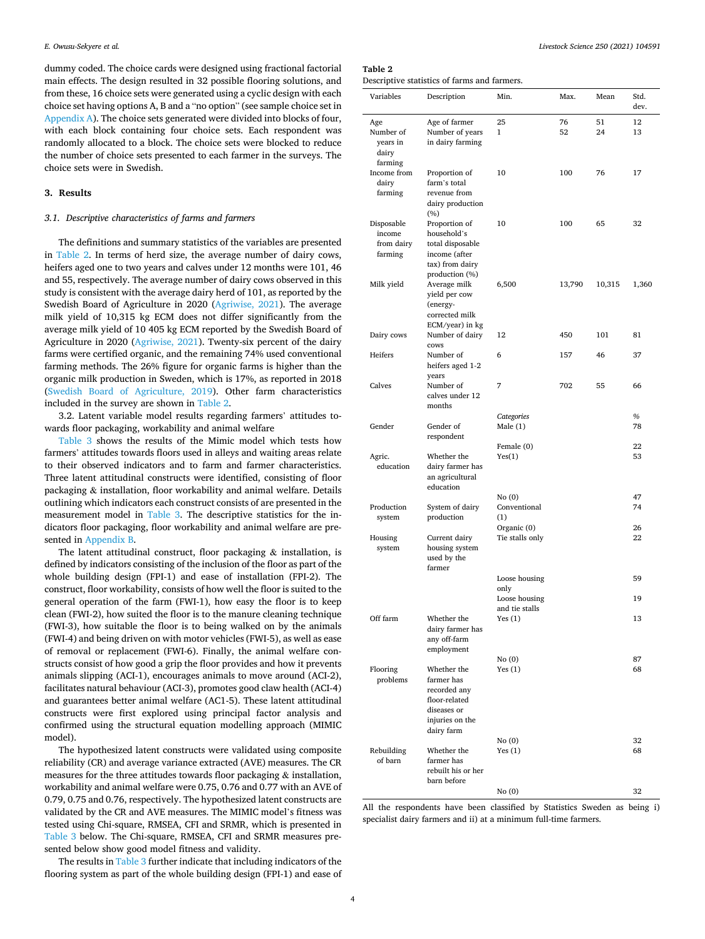<span id="page-3-0"></span>dummy coded. The choice cards were designed using fractional factorial main effects. The design resulted in 32 possible flooring solutions, and from these, 16 choice sets were generated using a cyclic design with each choice set having options A, B and a "no option" (see sample choice set in [Appendix A](#page-7-0)). The choice sets generated were divided into blocks of four, with each block containing four choice sets. Each respondent was randomly allocated to a block. The choice sets were blocked to reduce the number of choice sets presented to each farmer in the surveys. The choice sets were in Swedish.

## **3. Results**

# *3.1. Descriptive characteristics of farms and farmers*

The definitions and summary statistics of the variables are presented in Table 2. In terms of herd size, the average number of dairy cows, heifers aged one to two years and calves under 12 months were 101, 46 and 55, respectively. The average number of dairy cows observed in this study is consistent with the average dairy herd of 101, as reported by the Swedish Board of Agriculture in 2020 ([Agriwise, 2021](#page-8-0)). The average milk yield of 10,315 kg ECM does not differ significantly from the average milk yield of 10 405 kg ECM reported by the Swedish Board of Agriculture in 2020 [\(Agriwise, 2021\)](#page-8-0). Twenty-six percent of the dairy farms were certified organic, and the remaining 74% used conventional farming methods. The 26% figure for organic farms is higher than the organic milk production in Sweden, which is 17%, as reported in 2018 ([Swedish Board of Agriculture, 2019\)](#page-8-0). Other farm characteristics included in the survey are shown in Table 2.

3.2. Latent variable model results regarding farmers' attitudes towards floor packaging, workability and animal welfare

[Table 3](#page-4-0) shows the results of the Mimic model which tests how farmers' attitudes towards floors used in alleys and waiting areas relate to their observed indicators and to farm and farmer characteristics. Three latent attitudinal constructs were identified, consisting of floor packaging & installation, floor workability and animal welfare. Details outlining which indicators each construct consists of are presented in the measurement model in [Table 3](#page-4-0). The descriptive statistics for the indicators floor packaging, floor workability and animal welfare are presented in [Appendix B.](#page-7-0)

The latent attitudinal construct, floor packaging  $\&$  installation, is defined by indicators consisting of the inclusion of the floor as part of the whole building design (FPI-1) and ease of installation (FPI-2). The construct, floor workability, consists of how well the floor is suited to the general operation of the farm (FWI-1), how easy the floor is to keep clean (FWI-2), how suited the floor is to the manure cleaning technique (FWI-3), how suitable the floor is to being walked on by the animals (FWI-4) and being driven on with motor vehicles (FWI-5), as well as ease of removal or replacement (FWI-6). Finally, the animal welfare constructs consist of how good a grip the floor provides and how it prevents animals slipping (ACI-1), encourages animals to move around (ACI-2), facilitates natural behaviour (ACI-3), promotes good claw health (ACI-4) and guarantees better animal welfare (AC1-5). These latent attitudinal constructs were first explored using principal factor analysis and confirmed using the structural equation modelling approach (MIMIC model).

The hypothesized latent constructs were validated using composite reliability (CR) and average variance extracted (AVE) measures. The CR measures for the three attitudes towards floor packaging  $\&$  installation, workability and animal welfare were 0.75, 0.76 and 0.77 with an AVE of 0.79, 0.75 and 0.76, respectively. The hypothesized latent constructs are validated by the CR and AVE measures. The MIMIC model's fitness was tested using Chi-square, RMSEA, CFI and SRMR, which is presented in [Table 3](#page-4-0) below. The Chi-square, RMSEA, CFI and SRMR measures presented below show good model fitness and validity.

The results in [Table 3](#page-4-0) further indicate that including indicators of the flooring system as part of the whole building design (FPI-1) and ease of

# **Table 2**

Descriptive statistics of farms and farmers.

| Variables                                     | Description                                                                                                   | Min.                            | Max.     | Mean     | Std.<br>dev. |
|-----------------------------------------------|---------------------------------------------------------------------------------------------------------------|---------------------------------|----------|----------|--------------|
| Age<br>Number of<br>years in<br>dairy         | Age of farmer<br>Number of years<br>in dairy farming                                                          | 25<br>$\mathbf{1}$              | 76<br>52 | 51<br>24 | 12<br>13     |
| farming<br>Income from<br>dairy<br>farming    | Proportion of<br>farm's total<br>revenue from<br>dairy production                                             | 10                              | 100      | 76       | 17           |
| Disposable<br>income<br>from dairy<br>farming | (%)<br>Proportion of<br>household's<br>total disposable<br>income (after<br>tax) from dairy<br>production (%) | 10                              | 100      | 65       | 32           |
| Milk yield                                    | Average milk<br>yield per cow<br>(energy-<br>corrected milk                                                   | 6,500                           | 13,790   | 10,315   | 1,360        |
| Dairy cows                                    | ECM/year) in kg<br>Number of dairy<br>cows                                                                    | 12                              | 450      | 101      | 81           |
| Heifers                                       | Number of<br>heifers aged 1-2<br>years                                                                        | 6                               | 157      | 46       | 37           |
| Calves                                        | Number of<br>calves under 12<br>months                                                                        | 7                               | 702      | 55       | 66           |
| Gender                                        | Gender of<br>respondent                                                                                       | Categories<br>Male $(1)$        |          |          | $\%$<br>78   |
| Agric.<br>education                           | Whether the<br>dairy farmer has<br>an agricultural<br>education                                               | Female (0)<br>Yes(1)            |          |          | 22<br>53     |
| Production                                    | System of dairy                                                                                               | No(0)<br>Conventional           |          |          | 47<br>74     |
| system                                        | production                                                                                                    | (1)<br>Organic (0)              |          |          | 26           |
| Housing<br>system                             | Current dairy<br>housing system<br>used by the<br>farmer                                                      | Tie stalls only                 |          |          | 22           |
|                                               |                                                                                                               | Loose housing<br>only           |          |          | 59           |
|                                               |                                                                                                               | Loose housing<br>and tie stalls |          |          | 19           |
| Off farm                                      | Whether the<br>dairy farmer has<br>any off-farm<br>employment                                                 | Yes(1)                          |          |          | 13           |
| Flooring<br>problems                          | Whether the<br>farmer has<br>recorded any<br>floor-related<br>diseases or<br>injuries on the<br>dairy farm    | No(0)<br>Yes $(1)$              |          |          | 87<br>68     |
| Rebuilding<br>of barn                         | Whether the<br>farmer has<br>rebuilt his or her<br>barn before                                                | No(0)<br>Yes $(1)$              |          |          | 32<br>68     |
|                                               |                                                                                                               | No(0)                           |          |          | 32           |

All the respondents have been classified by Statistics Sweden as being i) specialist dairy farmers and ii) at a minimum full-time farmers.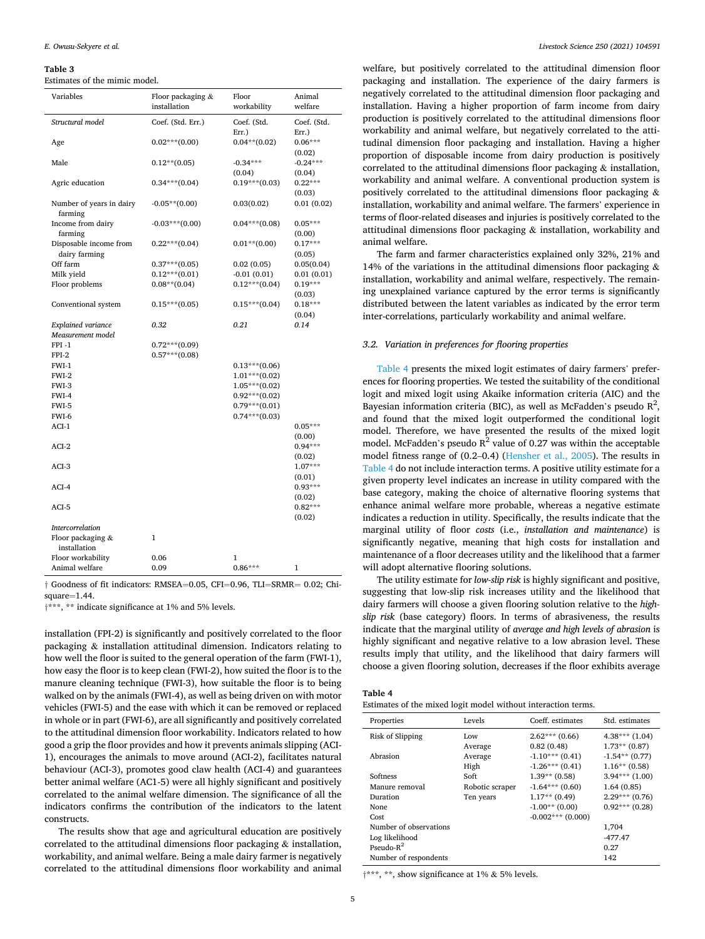#### <span id="page-4-0"></span>**Table 3**

Estimates of the mimic model.

| Variables                               | Floor packaging &<br>installation | Floor<br>workability | Animal<br>welfare             |
|-----------------------------------------|-----------------------------------|----------------------|-------------------------------|
| Structural model                        | Coef. (Std. Err.)                 | Coef. (Std.<br>Err.) | Coef. (Std.<br>Err.)          |
| Age                                     | $0.02***(0.00)$                   | $0.04**$ (0.02)      | $0.06***$<br>(0.02)           |
| Male                                    | $0.12**$ (0.05)                   | $-0.34***$<br>(0.04) | $-0.24***$<br>(0.04)          |
| Agric education                         | $0.34***(0.04)$                   | $0.19***$ (0.03)     | $0.22***$<br>(0.03)           |
| Number of years in dairy<br>farming     | $-0.05**$ (0.00)                  | 0.03(0.02)           | 0.01(0.02)                    |
| Income from dairy<br>farming            | $-0.03***(0.00)$                  | $0.04***(0.08)$      | $0.05***$<br>(0.00)           |
| Disposable income from<br>dairy farming | $0.22***(0.04)$                   | $0.01**$ (0.00)      | $0.17***$<br>(0.05)           |
| Off farm                                | $0.37***(0.05)$                   | 0.02(0.05)           | 0.05(0.04)                    |
| Milk yield                              | $0.12***(0.01)$                   | $-0.01(0.01)$        | 0.01(0.01)                    |
| Floor problems                          | $0.08**$ (0.04)                   | $0.12***(0.04)$      | $0.19***$                     |
|                                         |                                   |                      | (0.03)                        |
| Conventional system                     | $0.15***(0.05)$                   | $0.15***(0.04)$      | $0.18***$                     |
|                                         |                                   |                      | (0.04)                        |
| Explained variance                      | 0.32                              | 0.21                 | 0.14                          |
| Measurement model                       |                                   |                      |                               |
| $FPI -1$                                | $0.72***(0.09)$                   |                      |                               |
| $FPI-2$                                 | $0.57***(0.08)$                   |                      |                               |
| FWI-1                                   |                                   |                      |                               |
|                                         |                                   | $0.13***(0.06)$      |                               |
| FWI-2                                   |                                   | $1.01***$ (0.02)     |                               |
| FWI-3                                   |                                   | $1.05***(0.02)$      |                               |
| FWI-4                                   |                                   | $0.92***(0.02)$      |                               |
| FWI-5                                   |                                   | $0.79***$ (0.01)     |                               |
| FWI-6                                   |                                   | $0.74***$ (0.03)     |                               |
| $ACI-1$                                 |                                   |                      | $0.05***$                     |
| $ACI-2$                                 |                                   |                      | (0.00)<br>$0.94***$           |
| $ACI-3$                                 |                                   |                      | (0.02)<br>$1.07***$           |
| $ACI-4$                                 |                                   |                      | (0.01)<br>$0.93***$           |
| ACI-5                                   |                                   |                      | (0.02)<br>$0.82***$<br>(0.02) |
| <b>Intercorrelation</b>                 |                                   |                      |                               |
| Floor packaging &                       | $\mathbf{1}$                      |                      |                               |
| installation                            |                                   |                      |                               |
| Floor workability                       | 0.06                              | 1                    |                               |
| Animal welfare                          | 0.09                              | $0.86***$            | $\mathbf{1}$                  |
|                                         |                                   |                      |                               |

† Goodness of fit indicators: RMSEA=0.05, CFI=0.96, TLI=SRMR= 0.02; Chisquare=1.44.

†\*\*\*, \*\* indicate significance at 1% and 5% levels.

installation (FPI-2) is significantly and positively correlated to the floor packaging & installation attitudinal dimension. Indicators relating to how well the floor is suited to the general operation of the farm (FWI-1), how easy the floor is to keep clean (FWI-2), how suited the floor is to the manure cleaning technique (FWI-3), how suitable the floor is to being walked on by the animals (FWI-4), as well as being driven on with motor vehicles (FWI-5) and the ease with which it can be removed or replaced in whole or in part (FWI-6), are all significantly and positively correlated to the attitudinal dimension floor workability. Indicators related to how good a grip the floor provides and how it prevents animals slipping (ACI-1), encourages the animals to move around (ACI-2), facilitates natural behaviour (ACI-3), promotes good claw health (ACI-4) and guarantees better animal welfare (AC1-5) were all highly significant and positively correlated to the animal welfare dimension. The significance of all the indicators confirms the contribution of the indicators to the latent constructs.

The results show that age and agricultural education are positively correlated to the attitudinal dimensions floor packaging & installation, workability, and animal welfare. Being a male dairy farmer is negatively correlated to the attitudinal dimensions floor workability and animal

welfare, but positively correlated to the attitudinal dimension floor packaging and installation. The experience of the dairy farmers is negatively correlated to the attitudinal dimension floor packaging and installation. Having a higher proportion of farm income from dairy production is positively correlated to the attitudinal dimensions floor workability and animal welfare, but negatively correlated to the attitudinal dimension floor packaging and installation. Having a higher proportion of disposable income from dairy production is positively correlated to the attitudinal dimensions floor packaging & installation, workability and animal welfare. A conventional production system is positively correlated to the attitudinal dimensions floor packaging & installation, workability and animal welfare. The farmers' experience in terms of floor-related diseases and injuries is positively correlated to the attitudinal dimensions floor packaging & installation, workability and animal welfare.

The farm and farmer characteristics explained only 32%, 21% and 14% of the variations in the attitudinal dimensions floor packaging & installation, workability and animal welfare, respectively. The remaining unexplained variance captured by the error terms is significantly distributed between the latent variables as indicated by the error term inter-correlations, particularly workability and animal welfare.

## *3.2. Variation in preferences for flooring properties*

Table 4 presents the mixed logit estimates of dairy farmers' preferences for flooring properties. We tested the suitability of the conditional logit and mixed logit using Akaike information criteria (AIC) and the Bayesian information criteria (BIC), as well as McFadden's pseudo  $R^2$ , and found that the mixed logit outperformed the conditional logit model. Therefore, we have presented the results of the mixed logit model. McFadden's pseudo  $R^2$  value of 0.27 was within the acceptable model fitness range of (0.2–0.4) [\(Hensher et al., 2005\)](#page-8-0). The results in Table 4 do not include interaction terms. A positive utility estimate for a given property level indicates an increase in utility compared with the base category, making the choice of alternative flooring systems that enhance animal welfare more probable, whereas a negative estimate indicates a reduction in utility. Specifically, the results indicate that the marginal utility of floor *costs* (i.e., *installation and maintenance*) is significantly negative, meaning that high costs for installation and maintenance of a floor decreases utility and the likelihood that a farmer will adopt alternative flooring solutions.

The utility estimate for *low-slip risk* is highly significant and positive, suggesting that low-slip risk increases utility and the likelihood that dairy farmers will choose a given flooring solution relative to the *highslip risk* (base category) floors. In terms of abrasiveness, the results indicate that the marginal utility of *average and high levels of abrasion* is highly significant and negative relative to a low abrasion level. These results imply that utility, and the likelihood that dairy farmers will choose a given flooring solution, decreases if the floor exhibits average

## **Table 4**

| Estimates of the mixed logit model without interaction terms. |  |  |  |  |
|---------------------------------------------------------------|--|--|--|--|
|---------------------------------------------------------------|--|--|--|--|

| Properties             | Levels          | Coeff. estimates     | Std. estimates   |
|------------------------|-----------------|----------------------|------------------|
| Risk of Slipping       | Low             | $2.62***(0.66)$      | $4.38***(1.04)$  |
|                        | Average         | 0.82(0.48)           | $1.73**$ (0.87)  |
| Abrasion               | Average         | $-1.10***$ (0.41)    | $-1.54**$ (0.77) |
|                        | High            | $-1.26***(0.41)$     | $1.16**$ (0.58)  |
| Softness               | Soft            | $1.39**$ (0.58)      | $3.94***$ (1.00) |
| Manure removal         | Robotic scraper | $-1.64***(0.60)$     | 1.64(0.85)       |
| Duration               | Ten years       | $1.17**$ (0.49)      | $2.29***$ (0.76) |
| <b>None</b>            |                 | $-1.00**$ (0.00)     | $0.92***(0.28)$  |
| Cost                   |                 | $-0.002$ *** (0.000) |                  |
| Number of observations |                 |                      | 1,704            |
| Log likelihood         |                 |                      | $-477.47$        |
| Pseudo- $R^2$          |                 |                      | 0.27             |
| Number of respondents  |                 |                      | 142              |

†\*\*\*, \*\*, show significance at 1% & 5% levels.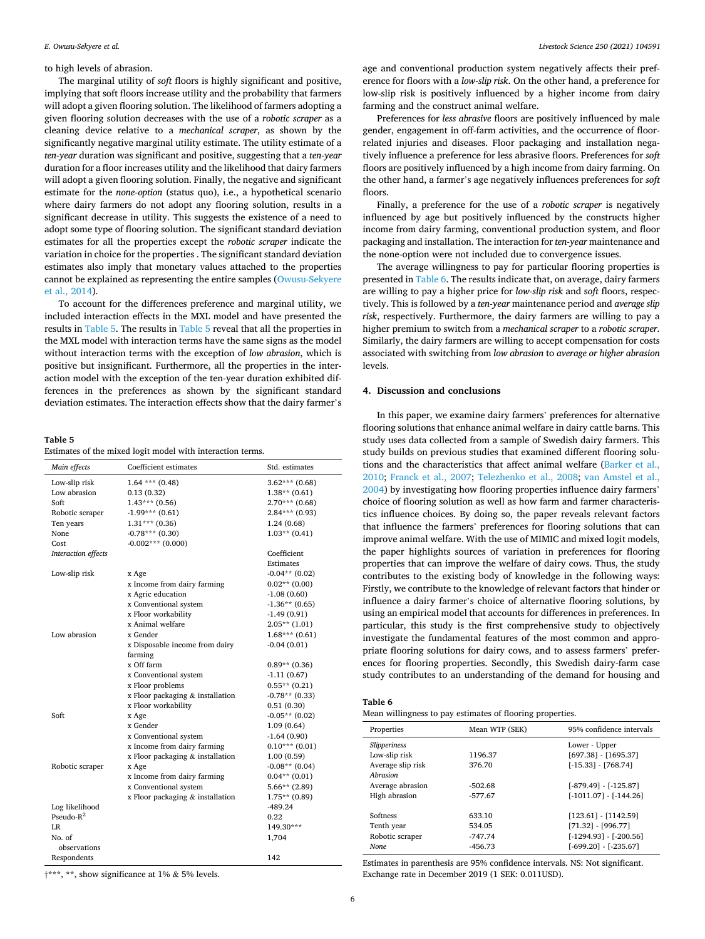### to high levels of abrasion.

The marginal utility of *soft* floors is highly significant and positive, implying that soft floors increase utility and the probability that farmers will adopt a given flooring solution. The likelihood of farmers adopting a given flooring solution decreases with the use of a *robotic scraper* as a cleaning device relative to a *mechanical scraper*, as shown by the significantly negative marginal utility estimate. The utility estimate of a *ten-year* duration was significant and positive, suggesting that a *ten-year*  duration for a floor increases utility and the likelihood that dairy farmers will adopt a given flooring solution. Finally, the negative and significant estimate for the *none-option* (status quo), i.e., a hypothetical scenario where dairy farmers do not adopt any flooring solution, results in a significant decrease in utility. This suggests the existence of a need to adopt some type of flooring solution. The significant standard deviation estimates for all the properties except the *robotic scraper* indicate the variation in choice for the properties . The significant standard deviation estimates also imply that monetary values attached to the properties cannot be explained as representing the entire samples [\(Owusu-Sekyere](#page-8-0)  [et al., 2014\)](#page-8-0).

To account for the differences preference and marginal utility, we included interaction effects in the MXL model and have presented the results in Table 5. The results in Table 5 reveal that all the properties in the MXL model with interaction terms have the same signs as the model without interaction terms with the exception of *low abrasion*, which is positive but insignificant. Furthermore, all the properties in the interaction model with the exception of the ten-year duration exhibited differences in the preferences as shown by the significant standard deviation estimates. The interaction effects show that the dairy farmer's

### **Table 5**

Estimates of the mixed logit model with interaction terms.

| Main effects        | Coefficient estimates            | Std. estimates   |
|---------------------|----------------------------------|------------------|
| Low-slip risk       | $1.64$ *** $(0.48)$              | $3.62***(0.68)$  |
| Low abrasion        | 0.13(0.32)                       | $1.38**$ (0.61)  |
| Soft                | $1.43***(0.56)$                  | $2.70***$ (0.68) |
| Robotic scraper     | $-1.99***$ (0.61)                | $2.84***$ (0.93) |
| Ten years           | $1.31***(0.36)$                  | 1.24 (0.68)      |
| None                | $-0.78***$ (0.30)                | $1.03**$ (0.41)  |
| Cost                | $-0.002***$ (0.000)              |                  |
| Interaction effects |                                  | Coefficient      |
|                     |                                  | Estimates        |
| Low-slip risk       | x Age                            | $-0.04**$ (0.02) |
|                     | x Income from dairy farming      | $0.02**$ (0.00)  |
|                     | x Agric education                | $-1.08(0.60)$    |
|                     | x Conventional system            | $-1.36**$ (0.65) |
|                     | x Floor workability              | $-1.49(0.91)$    |
|                     | x Animal welfare                 | $2.05**$ (1.01)  |
| Low abrasion        | x Gender                         | $1.68***(0.61)$  |
|                     | x Disposable income from dairy   | $-0.04(0.01)$    |
|                     | farming                          |                  |
|                     | x Off farm                       | $0.89**$ (0.36)  |
|                     | x Conventional system            | $-1.11(0.67)$    |
|                     | x Floor problems                 | $0.55**$ (0.21)  |
|                     | x Floor packaging & installation | $-0.78**$ (0.33) |
|                     | x Floor workability              | 0.51(0.30)       |
| Soft                | x Age                            | $-0.05**$ (0.02) |
|                     | x Gender                         | 1.09(0.64)       |
|                     | x Conventional system            | $-1.64(0.90)$    |
|                     | x Income from dairy farming      | $0.10***(0.01)$  |
|                     | x Floor packaging & installation | 1.00(0.59)       |
| Robotic scraper     | x Age                            | $-0.08**$ (0.04) |
|                     | x Income from dairy farming      | $0.04**$ (0.01)  |
|                     | x Conventional system            | $5.66**$ (2.89)  |
|                     | x Floor packaging & installation | $1.75**$ (0.89)  |
| Log likelihood      |                                  | -489.24          |
| Pseudo- $R^2$       |                                  | 0.22             |
| LR.                 |                                  | 149.30***        |
| No. of              |                                  | 1,704            |
| observations        |                                  |                  |
| Respondents         |                                  | 142              |

age and conventional production system negatively affects their preference for floors with a *low-slip risk*. On the other hand, a preference for low-slip risk is positively influenced by a higher income from dairy farming and the construct animal welfare.

Preferences for *less abrasive* floors are positively influenced by male gender, engagement in off-farm activities, and the occurrence of floorrelated injuries and diseases. Floor packaging and installation negatively influence a preference for less abrasive floors. Preferences for *soft*  floors are positively influenced by a high income from dairy farming. On the other hand, a farmer's age negatively influences preferences for *soft*  floors.

Finally, a preference for the use of a *robotic scraper* is negatively influenced by age but positively influenced by the constructs higher income from dairy farming, conventional production system, and floor packaging and installation. The interaction for *ten-year* maintenance and the none-option were not included due to convergence issues.

The average willingness to pay for particular flooring properties is presented in Table 6. The results indicate that, on average, dairy farmers are willing to pay a higher price for *low-slip risk* and s*oft* floors, respectively. This is followed by a *ten-year* maintenance period and *average slip risk*, respectively. Furthermore, the dairy farmers are willing to pay a higher premium to switch from a *mechanical scraper* to a *robotic scraper*. Similarly, the dairy farmers are willing to accept compensation for costs associated with switching from *low abrasion* to *average or higher abrasion*  levels.

### **4. Discussion and conclusions**

In this paper, we examine dairy farmers' preferences for alternative flooring solutions that enhance animal welfare in dairy cattle barns. This study uses data collected from a sample of Swedish dairy farmers. This study builds on previous studies that examined different flooring solutions and the characteristics that affect animal welfare ([Barker et al.,](#page-8-0)  [2010;](#page-8-0) [Franck et al., 2007](#page-8-0); [Telezhenko et al., 2008;](#page-8-0) [van Amstel et al.,](#page-8-0)  [2004\)](#page-8-0) by investigating how flooring properties influence dairy farmers' choice of flooring solution as well as how farm and farmer characteristics influence choices. By doing so, the paper reveals relevant factors that influence the farmers' preferences for flooring solutions that can improve animal welfare. With the use of MIMIC and mixed logit models, the paper highlights sources of variation in preferences for flooring properties that can improve the welfare of dairy cows. Thus, the study contributes to the existing body of knowledge in the following ways: Firstly, we contribute to the knowledge of relevant factors that hinder or influence a dairy farmer's choice of alternative flooring solutions, by using an empirical model that accounts for differences in preferences. In particular, this study is the first comprehensive study to objectively investigate the fundamental features of the most common and appropriate flooring solutions for dairy cows, and to assess farmers' preferences for flooring properties. Secondly, this Swedish dairy-farm case study contributes to an understanding of the demand for housing and

| c |  |
|---|--|
|---|--|

Mean willingness to pay estimates of flooring properties.

| Properties                 | Mean WTP (SEK) | 95% confidence intervals |
|----------------------------|----------------|--------------------------|
| <i><b>Slipperiness</b></i> |                | Lower - Upper            |
| Low-slip risk              | 1196.37        | $[697.38] - [1695.37]$   |
| Average slip risk          | 376.70         | $[-15.33] - [768.74]$    |
| Abrasion                   |                |                          |
| Average abrasion           | $-502.68$      | [-879.49] - [-125.87]    |
| High abrasion              | $-577.67$      | [-1011.07] - [-144.26]   |
|                            |                |                          |
| Softness                   | 633.10         | $[123.61] - [1142.59]$   |
| Tenth year                 | 534.05         | $[71.32] - [996.77]$     |
| Robotic scraper            | $-747.74$      | $[-1294.93] - [-200.56]$ |
| None.                      | $-456.73$      | $[-699.20] - [-235.67]$  |

Estimates in parenthesis are 95% confidence intervals. NS: Not significant. Exchange rate in December 2019 (1 SEK: 0.011USD).

†\*\*\*, \*\*, show significance at 1% & 5% levels.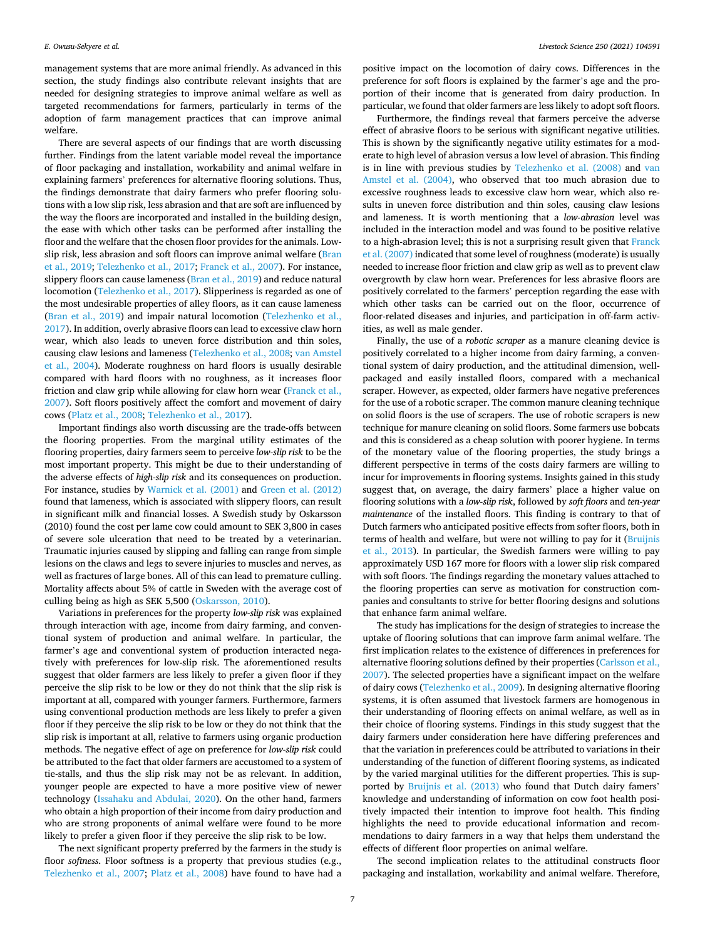management systems that are more animal friendly. As advanced in this section, the study findings also contribute relevant insights that are needed for designing strategies to improve animal welfare as well as targeted recommendations for farmers, particularly in terms of the adoption of farm management practices that can improve animal welfare.

There are several aspects of our findings that are worth discussing further. Findings from the latent variable model reveal the importance of floor packaging and installation, workability and animal welfare in explaining farmers' preferences for alternative flooring solutions. Thus, the findings demonstrate that dairy farmers who prefer flooring solutions with a low slip risk, less abrasion and that are soft are influenced by the way the floors are incorporated and installed in the building design, the ease with which other tasks can be performed after installing the floor and the welfare that the chosen floor provides for the animals. Lowslip risk, less abrasion and soft floors can improve animal welfare [\(Bran](#page-8-0)  [et al., 2019; Telezhenko et al., 2017; Franck et al., 2007\)](#page-8-0). For instance, slippery floors can cause lameness ([Bran et al., 2019](#page-8-0)) and reduce natural locomotion ([Telezhenko et al., 2017\)](#page-8-0). Slipperiness is regarded as one of the most undesirable properties of alley floors, as it can cause lameness ([Bran et al., 2019\)](#page-8-0) and impair natural locomotion ([Telezhenko et al.,](#page-8-0)  [2017\)](#page-8-0). In addition, overly abrasive floors can lead to excessive claw horn wear, which also leads to uneven force distribution and thin soles, causing claw lesions and lameness [\(Telezhenko et al., 2008](#page-8-0); [van Amstel](#page-8-0)  [et al., 2004\)](#page-8-0). Moderate roughness on hard floors is usually desirable compared with hard floors with no roughness, as it increases floor friction and claw grip while allowing for claw horn wear ([Franck et al.,](#page-8-0)  [2007\)](#page-8-0). Soft floors positively affect the comfort and movement of dairy cows [\(Platz et al., 2008; Telezhenko et al., 2017\)](#page-8-0).

Important findings also worth discussing are the trade-offs between the flooring properties. From the marginal utility estimates of the flooring properties, dairy farmers seem to perceive *low-slip risk* to be the most important property. This might be due to their understanding of the adverse effects of *high-slip risk* and its consequences on production. For instance, studies by [Warnick et al. \(2001\)](#page-8-0) and [Green et al. \(2012\)](#page-8-0)  found that lameness, which is associated with slippery floors, can result in significant milk and financial losses. A Swedish study by Oskarsson (2010) found the cost per lame cow could amount to SEK 3,800 in cases of severe sole ulceration that need to be treated by a veterinarian. Traumatic injuries caused by slipping and falling can range from simple lesions on the claws and legs to severe injuries to muscles and nerves, as well as fractures of large bones. All of this can lead to premature culling. Mortality affects about 5% of cattle in Sweden with the average cost of culling being as high as SEK 5,500 [\(Oskarsson, 2010](#page-8-0)).

Variations in preferences for the property *low-slip risk* was explained through interaction with age, income from dairy farming, and conventional system of production and animal welfare. In particular, the farmer's age and conventional system of production interacted negatively with preferences for low-slip risk. The aforementioned results suggest that older farmers are less likely to prefer a given floor if they perceive the slip risk to be low or they do not think that the slip risk is important at all, compared with younger farmers. Furthermore, farmers using conventional production methods are less likely to prefer a given floor if they perceive the slip risk to be low or they do not think that the slip risk is important at all, relative to farmers using organic production methods. The negative effect of age on preference for *low-slip risk* could be attributed to the fact that older farmers are accustomed to a system of tie-stalls, and thus the slip risk may not be as relevant. In addition, younger people are expected to have a more positive view of newer technology [\(Issahaku and Abdulai, 2020](#page-8-0)). On the other hand, farmers who obtain a high proportion of their income from dairy production and who are strong proponents of animal welfare were found to be more likely to prefer a given floor if they perceive the slip risk to be low.

The next significant property preferred by the farmers in the study is floor *softness*. Floor softness is a property that previous studies (e.g., [Telezhenko et al., 2007](#page-8-0); [Platz et al., 2008](#page-8-0)) have found to have had a

positive impact on the locomotion of dairy cows. Differences in the preference for soft floors is explained by the farmer's age and the proportion of their income that is generated from dairy production. In particular, we found that older farmers are less likely to adopt soft floors.

Furthermore, the findings reveal that farmers perceive the adverse effect of abrasive floors to be serious with significant negative utilities. This is shown by the significantly negative utility estimates for a moderate to high level of abrasion versus a low level of abrasion. This finding is in line with previous studies by [Telezhenko et al. \(2008\)](#page-8-0) and [van](#page-8-0)  [Amstel et al. \(2004\),](#page-8-0) who observed that too much abrasion due to excessive roughness leads to excessive claw horn wear, which also results in uneven force distribution and thin soles, causing claw lesions and lameness. It is worth mentioning that a *low-abrasion* level was included in the interaction model and was found to be positive relative to a high-abrasion level; this is not a surprising result given that Franck [et al. \(2007\)](#page-8-0) indicated that some level of roughness (moderate) is usually needed to increase floor friction and claw grip as well as to prevent claw overgrowth by claw horn wear. Preferences for less abrasive floors are positively correlated to the farmers' perception regarding the ease with which other tasks can be carried out on the floor, occurrence of floor-related diseases and injuries, and participation in off-farm activities, as well as male gender.

Finally, the use of a *robotic scraper* as a manure cleaning device is positively correlated to a higher income from dairy farming, a conventional system of dairy production, and the attitudinal dimension, wellpackaged and easily installed floors, compared with a mechanical scraper. However, as expected, older farmers have negative preferences for the use of a robotic scraper. The common manure cleaning technique on solid floors is the use of scrapers. The use of robotic scrapers is new technique for manure cleaning on solid floors. Some farmers use bobcats and this is considered as a cheap solution with poorer hygiene. In terms of the monetary value of the flooring properties, the study brings a different perspective in terms of the costs dairy farmers are willing to incur for improvements in flooring systems. Insights gained in this study suggest that, on average, the dairy farmers' place a higher value on flooring solutions with a *low-slip risk*, followed by *soft floors* and *ten-year maintenance* of the installed floors. This finding is contrary to that of Dutch farmers who anticipated positive effects from softer floors, both in terms of health and welfare, but were not willing to pay for it [\(Bruijnis](#page-8-0)  [et al., 2013\)](#page-8-0). In particular, the Swedish farmers were willing to pay approximately USD 167 more for floors with a lower slip risk compared with soft floors. The findings regarding the monetary values attached to the flooring properties can serve as motivation for construction companies and consultants to strive for better flooring designs and solutions that enhance farm animal welfare.

The study has implications for the design of strategies to increase the uptake of flooring solutions that can improve farm animal welfare. The first implication relates to the existence of differences in preferences for alternative flooring solutions defined by their properties ([Carlsson et al.,](#page-8-0)  [2007\)](#page-8-0). The selected properties have a significant impact on the welfare of dairy cows ([Telezhenko et al., 2009\)](#page-8-0). In designing alternative flooring systems, it is often assumed that livestock farmers are homogenous in their understanding of flooring effects on animal welfare, as well as in their choice of flooring systems. Findings in this study suggest that the dairy farmers under consideration here have differing preferences and that the variation in preferences could be attributed to variations in their understanding of the function of different flooring systems, as indicated by the varied marginal utilities for the different properties. This is supported by [Bruijnis et al. \(2013\)](#page-8-0) who found that Dutch dairy famers' knowledge and understanding of information on cow foot health positively impacted their intention to improve foot health. This finding highlights the need to provide educational information and recommendations to dairy farmers in a way that helps them understand the effects of different floor properties on animal welfare.

The second implication relates to the attitudinal constructs floor packaging and installation, workability and animal welfare. Therefore,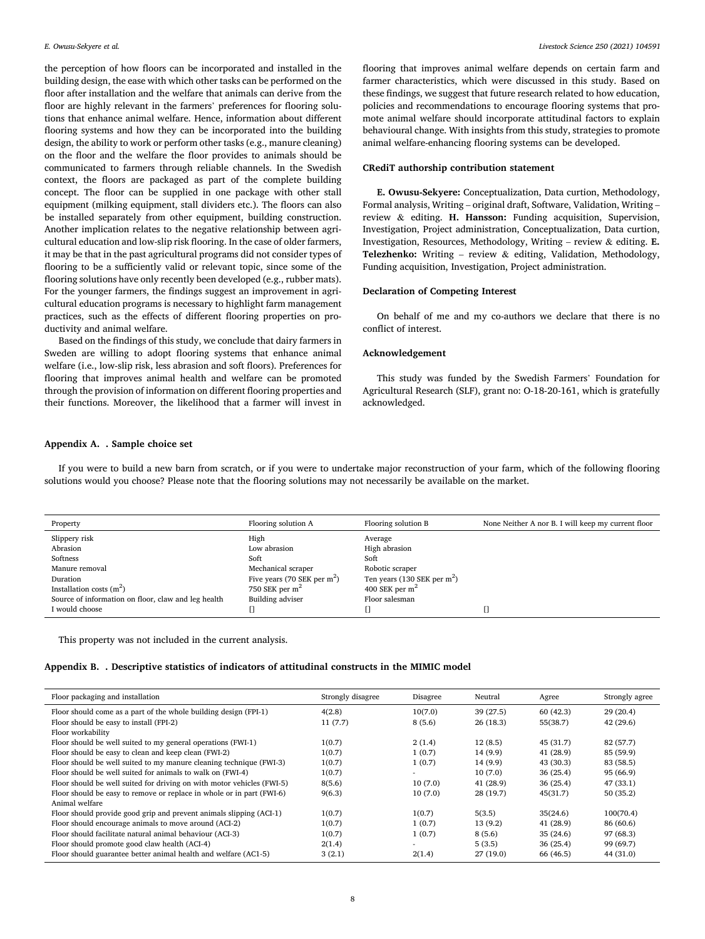<span id="page-7-0"></span>the perception of how floors can be incorporated and installed in the building design, the ease with which other tasks can be performed on the floor after installation and the welfare that animals can derive from the floor are highly relevant in the farmers' preferences for flooring solutions that enhance animal welfare. Hence, information about different flooring systems and how they can be incorporated into the building design, the ability to work or perform other tasks (e.g., manure cleaning) on the floor and the welfare the floor provides to animals should be communicated to farmers through reliable channels. In the Swedish context, the floors are packaged as part of the complete building concept. The floor can be supplied in one package with other stall equipment (milking equipment, stall dividers etc.). The floors can also be installed separately from other equipment, building construction. Another implication relates to the negative relationship between agricultural education and low-slip risk flooring. In the case of older farmers, it may be that in the past agricultural programs did not consider types of flooring to be a sufficiently valid or relevant topic, since some of the flooring solutions have only recently been developed (e.g., rubber mats). For the younger farmers, the findings suggest an improvement in agricultural education programs is necessary to highlight farm management practices, such as the effects of different flooring properties on productivity and animal welfare.

Based on the findings of this study, we conclude that dairy farmers in Sweden are willing to adopt flooring systems that enhance animal welfare (i.e., low-slip risk, less abrasion and soft floors). Preferences for flooring that improves animal health and welfare can be promoted through the provision of information on different flooring properties and their functions. Moreover, the likelihood that a farmer will invest in flooring that improves animal welfare depends on certain farm and farmer characteristics, which were discussed in this study. Based on these findings, we suggest that future research related to how education, policies and recommendations to encourage flooring systems that promote animal welfare should incorporate attitudinal factors to explain behavioural change. With insights from this study, strategies to promote animal welfare-enhancing flooring systems can be developed.

### **CRediT authorship contribution statement**

**E. Owusu-Sekyere:** Conceptualization, Data curtion, Methodology, Formal analysis, Writing – original draft, Software, Validation, Writing – review & editing. **H. Hansson:** Funding acquisition, Supervision, Investigation, Project administration, Conceptualization, Data curtion, Investigation, Resources, Methodology, Writing – review & editing. **E. Telezhenko:** Writing – review & editing, Validation, Methodology, Funding acquisition, Investigation, Project administration.

# **Declaration of Competing Interest**

On behalf of me and my co-authors we declare that there is no conflict of interest.

# **Acknowledgement**

This study was funded by the Swedish Farmers' Foundation for Agricultural Research (SLF), grant no: O-18-20-161, which is gratefully acknowledged.

## **Appendix A. . Sample choice set**

If you were to build a new barn from scratch, or if you were to undertake major reconstruction of your farm, which of the following flooring solutions would you choose? Please note that the flooring solutions may not necessarily be available on the market.

| Property                                            | Flooring solution A           | Flooring solution B           | None Neither A nor B. I will keep my current floor |
|-----------------------------------------------------|-------------------------------|-------------------------------|----------------------------------------------------|
| Slippery risk                                       | High                          | Average                       |                                                    |
| Abrasion                                            | Low abrasion                  | High abrasion                 |                                                    |
| Softness                                            | Soft                          | Soft                          |                                                    |
| Manure removal                                      | Mechanical scraper            | Robotic scraper               |                                                    |
| Duration                                            | Five years (70 SEK per $m2$ ) | Ten years (130 SEK per $m2$ ) |                                                    |
| Installation costs $(m2)$                           | 750 SEK per $m2$              | 400 SEK per $m2$              |                                                    |
| Source of information on floor, claw and leg health | Building adviser              | Floor salesman                |                                                    |
| I would choose                                      |                               |                               |                                                    |

This property was not included in the current analysis.

## **Appendix B. . Descriptive statistics of indicators of attitudinal constructs in the MIMIC model**

| Floor packaging and installation                                       | Strongly disagree | Disagree | Neutral   | Agree     | Strongly agree |
|------------------------------------------------------------------------|-------------------|----------|-----------|-----------|----------------|
| Floor should come as a part of the whole building design (FPI-1)       | 4(2.8)            | 10(7.0)  | 39 (27.5) | 60(42.3)  | 29(20.4)       |
| Floor should be easy to install (FPI-2)                                | 11(7.7)           | 8(5.6)   | 26(18.3)  | 55(38.7)  | 42(29.6)       |
| Floor workability                                                      |                   |          |           |           |                |
| Floor should be well suited to my general operations (FWI-1)           | 1(0.7)            | 2(1.4)   | 12(8.5)   | 45(31.7)  | 82 (57.7)      |
| Floor should be easy to clean and keep clean (FWI-2)                   | 1(0.7)            | 1(0.7)   | 14(9.9)   | 41(28.9)  | 85 (59.9)      |
| Floor should be well suited to my manure cleaning technique (FWI-3)    | 1(0.7)            | 1(0.7)   | 14(9.9)   | 43 (30.3) | 83 (58.5)      |
| Floor should be well suited for animals to walk on (FWI-4)             | 1(0.7)            |          | 10(7.0)   | 36(25.4)  | 95 (66.9)      |
| Floor should be well suited for driving on with motor vehicles (FWI-5) | 8(5.6)            | 10(7.0)  | 41(28.9)  | 36(25.4)  | 47 (33.1)      |
| Floor should be easy to remove or replace in whole or in part (FWI-6)  | 9(6.3)            | 10(7.0)  | 28 (19.7) | 45(31.7)  | 50(35.2)       |
| Animal welfare                                                         |                   |          |           |           |                |
| Floor should provide good grip and prevent animals slipping (ACI-1)    | 1(0.7)            | 1(0.7)   | 5(3.5)    | 35(24.6)  | 100(70.4)      |
| Floor should encourage animals to move around (ACI-2)                  | 1(0.7)            | 1(0.7)   | 13(9.2)   | 41(28.9)  | 86 (60.6)      |
| Floor should facilitate natural animal behaviour (ACI-3)               | 1(0.7)            | 1(0.7)   | 8(5.6)    | 35(24.6)  | 97 (68.3)      |
| Floor should promote good claw health (ACI-4)                          | 2(1.4)            | $\sim$   | 5(3.5)    | 36(25.4)  | 99 (69.7)      |
| Floor should guarantee better animal health and welfare (AC1-5)        | 3(2.1)            | 2(1.4)   | 27(19.0)  | 66 (46.5) | 44 (31.0)      |